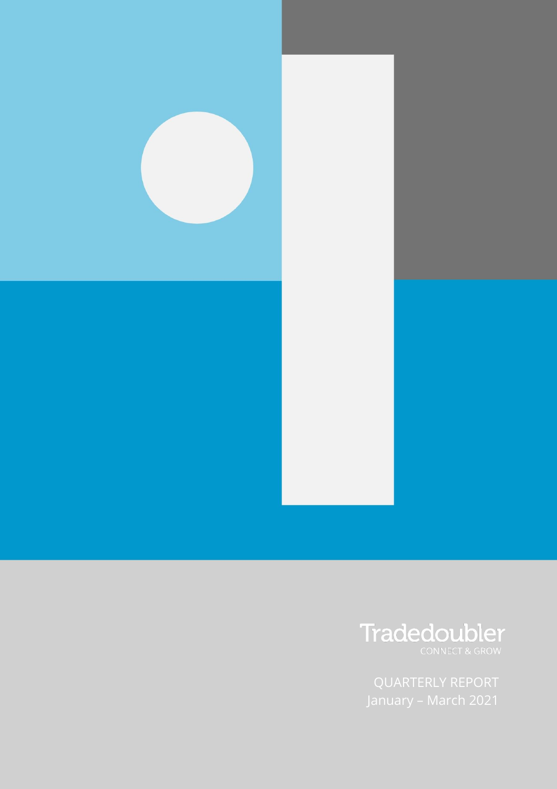

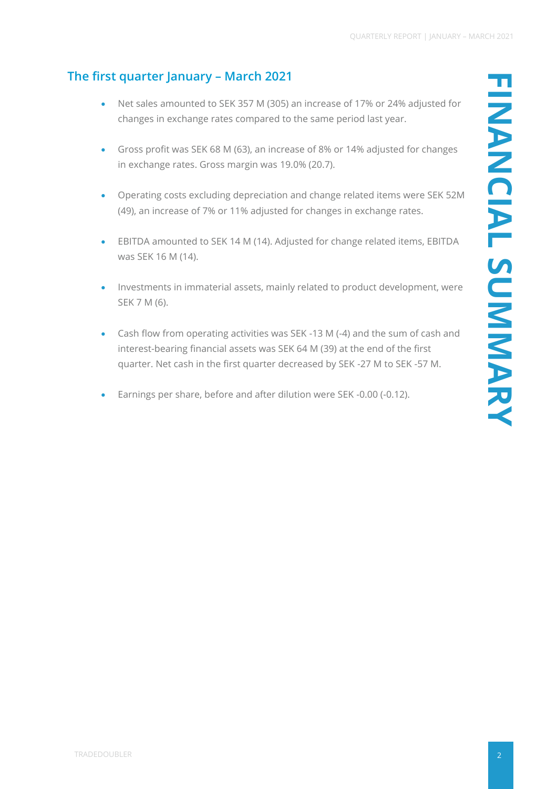# **The first quarter January – March 2021**

- Net sales amounted to SEK 357 M (305) an increase of 17% or 24% adjusted for changes in exchange rates compared to the same period last year.
- Gross profit was SEK 68 M (63), an increase of 8% or 14% adjusted for changes in exchange rates. Gross margin was 19.0% (20.7).
- Operating costs excluding depreciation and change related items were SEK 52M (49), an increase of 7% or 11% adjusted for changes in exchange rates.
- EBITDA amounted to SEK 14 M (14). Adjusted for change related items, EBITDA was SEK 16 M (14).
- Investments in immaterial assets, mainly related to product development, were SEK 7 M (6).
- Cash flow from operating activities was SEK -13 M (-4) and the sum of cash and interest-bearing financial assets was SEK 64 M (39) at the end of the first quarter. Net cash in the first quarter decreased by SEK -27 M to SEK -57 M.
- Earnings per share, before and after dilution were SEK -0.00 (-0.12).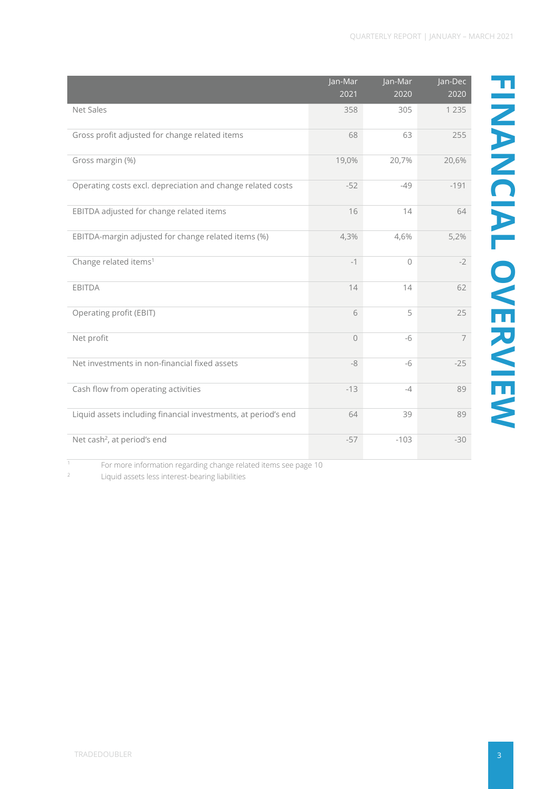|                                                                | Jan-Mar     | Jan-Mar  | Jan-Dec |
|----------------------------------------------------------------|-------------|----------|---------|
|                                                                | 2021        | 2020     | 2020    |
| Net Sales                                                      | 358         | 305      | 1 2 3 5 |
| Gross profit adjusted for change related items                 | 68          | 63       | 255     |
| Gross margin (%)                                               | 19,0%       | 20,7%    | 20,6%   |
| Operating costs excl. depreciation and change related costs    | $-52$       | $-49$    | $-191$  |
| EBITDA adjusted for change related items                       | 16          | 14       |         |
| EBITDA-margin adjusted for change related items (%)            | 4,3%        | 4,6%     | 5,2%    |
| Change related items <sup>1</sup>                              | $-1$        | $\Omega$ |         |
| EBITDA                                                         | 14          | 14       |         |
| Operating profit (EBIT)                                        | 6           | 5        |         |
| Net profit                                                     | $\mathbf 0$ | $-6$     |         |
| Net investments in non-financial fixed assets                  | $-8$        | $-6$     |         |
| Cash flow from operating activities                            | $-13$       | $-4$     |         |
| Liquid assets including financial investments, at period's end | 64          | 39       |         |
| Net cash <sup>2</sup> , at period's end                        | $-57$       | $-103$   |         |

For more information regarding change related items see page 10

<sup>2</sup> Liquid assets less interest-bearing liabilities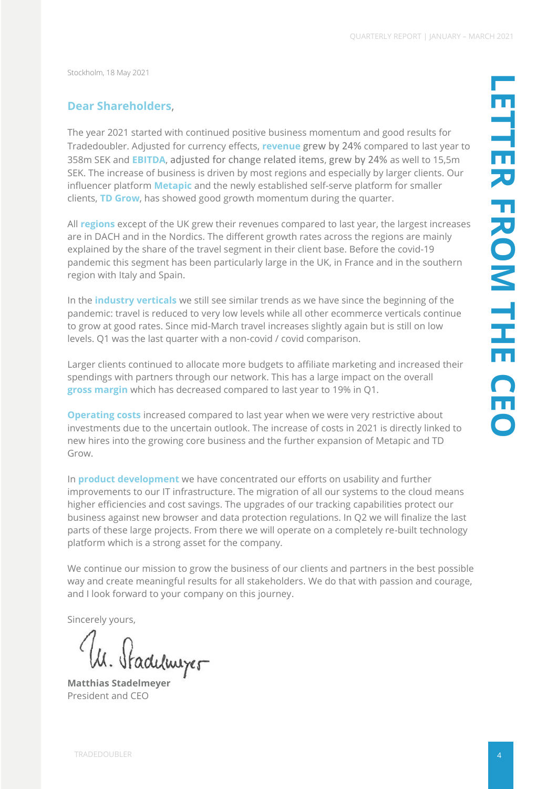Stockholm, 18 May 2021

### **Dear Shareholders**,

The year 2021 started with continued positive business momentum and good results for Tradedoubler. Adjusted for currency effects, **revenue** grew by 24% compared to last year to 358m SEK and **EBITDA**, adjusted for change related items, grew by 24% as well to 15,5m SEK. The increase of business is driven by most regions and especially by larger clients. Our influencer platform **Metapic** and the newly established self-serve platform for smaller clients, **TD Grow**, has showed good growth momentum during the quarter.

All **regions** except of the UK grew their revenues compared to last year, the largest increases are in DACH and in the Nordics. The different growth rates across the regions are mainly explained by the share of the travel segment in their client base. Before the covid-19 pandemic this segment has been particularly large in the UK, in France and in the southern region with Italy and Spain.

In the **industry verticals** we still see similar trends as we have since the beginning of the pandemic: travel is reduced to very low levels while all other ecommerce verticals continue to grow at good rates. Since mid-March travel increases slightly again but is still on low levels. Q1 was the last quarter with a non-covid / covid comparison.

Larger clients continued to allocate more budgets to affiliate marketing and increased their spendings with partners through our network. This has a large impact on the overall **gross margin** which has decreased compared to last year to 19% in Q1.

**Operating costs** increased compared to last year when we were very restrictive about investments due to the uncertain outlook. The increase of costs in 2021 is directly linked to new hires into the growing core business and the further expansion of Metapic and TD Grow.

In **product development** we have concentrated our efforts on usability and further improvements to our IT infrastructure. The migration of all our systems to the cloud means higher efficiencies and cost savings. The upgrades of our tracking capabilities protect our business against new browser and data protection regulations. In Q2 we will finalize the last parts of these large projects. From there we will operate on a completely re-built technology platform which is a strong asset for the company.

We continue our mission to grow the business of our clients and partners in the best possible way and create meaningful results for all stakeholders. We do that with passion and courage, and I look forward to your company on this journey.

Sincerely yours,

W. Stadulmyer

President and CEO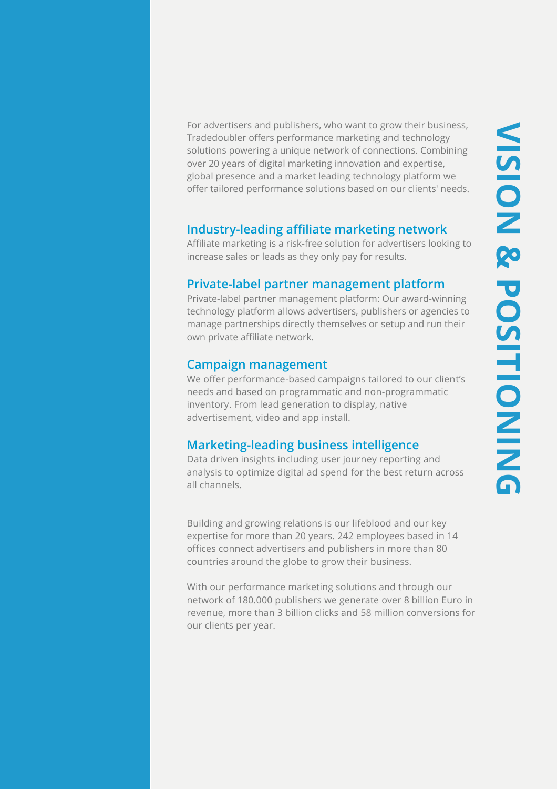**VISION & POSITIONINGVISION & POSITIONING** 

For advertisers and publishers, who want to grow their business, Tradedoubler offers performance marketing and technology solutions powering a unique network of connections. Combining over 20 years of digital marketing innovation and expertise, global presence and a market leading technology platform we offer tailored performance solutions based on our clients' needs.

## **Industry-leading affiliate marketing network**

Affiliate marketing is a risk-free solution for advertisers looking to increase sales or leads as they only pay for results.

## **Private-label partner management platform**

Private-label partner management platform: Our award-winning technology platform allows advertisers, publishers or agencies to manage partnerships directly themselves or setup and run their own private affiliate network.

### **Campaign management**

We offer performance-based campaigns tailored to our client's needs and based on programmatic and non-programmatic inventory. From lead generation to display, native advertisement, video and app install.

## **Marketing-leading business intelligence**

Data driven insights including user journey reporting and analysis to optimize digital ad spend for the best return across all channels.

Building and growing relations is our lifeblood and our key expertise for more than 20 years. 242 employees based in 14 offices connect advertisers and publishers in more than 80 countries around the globe to grow their business.

With our performance marketing solutions and through our network of 180.000 publishers we generate over 8 billion Euro in revenue, more than 3 billion clicks and 58 million conversions for our clients per year.

TRADEDOUBLER STATES IN 1999 ON 1999 ON 1999 ON 1999 ON 1999 ON 1999 ON 1999 ON 1999 ON 1999 ON 1999 ON 1999 ON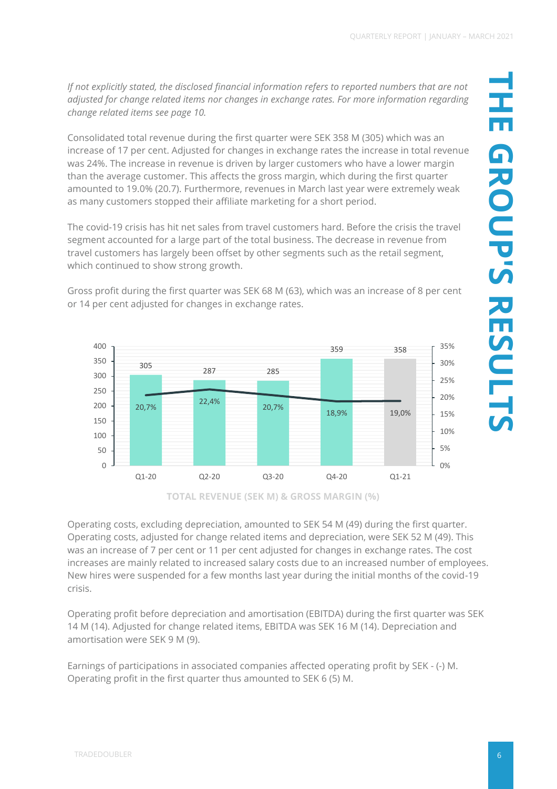*If not explicitly stated, the disclosed financial information refers to reported numbers that are not adjusted for change related items nor changes in exchange rates. For more information regarding change related items see page 10.*

Consolidated total revenue during the first quarter were SEK 358 M (305) which was an increase of 17 per cent. Adjusted for changes in exchange rates the increase in total revenue was 24%. The increase in revenue is driven by larger customers who have a lower margin than the average customer. This affects the gross margin, which during the first quarter amounted to 19.0% (20.7). Furthermore, revenues in March last year were extremely weak as many customers stopped their affiliate marketing for a short period.

The covid-19 crisis has hit net sales from travel customers hard. Before the crisis the travel segment accounted for a large part of the total business. The decrease in revenue from travel customers has largely been offset by other segments such as the retail segment, which continued to show strong growth.



Gross profit during the first quarter was SEK 68 M (63), which was an increase of 8 per cent or 14 per cent adjusted for changes in exchange rates.

**TOTAL REVENUE (SEK M) & GROSS MARGIN (%)**

Operating costs, excluding depreciation, amounted to SEK 54 M (49) during the first quarter. Operating costs, adjusted for change related items and depreciation, were SEK 52 M (49). This was an increase of 7 per cent or 11 per cent adjusted for changes in exchange rates. The cost increases are mainly related to increased salary costs due to an increased number of employees. New hires were suspended for a few months last year during the initial months of the covid-19 crisis.

Operating profit before depreciation and amortisation (EBITDA) during the first quarter was SEK 14 M (14). Adjusted for change related items, EBITDA was SEK 16 M (14). Depreciation and amortisation were SEK 9 M (9).

Earnings of participations in associated companies affected operating profit by SEK - (-) M. Operating profit in the first quarter thus amounted to SEK 6 (5) M.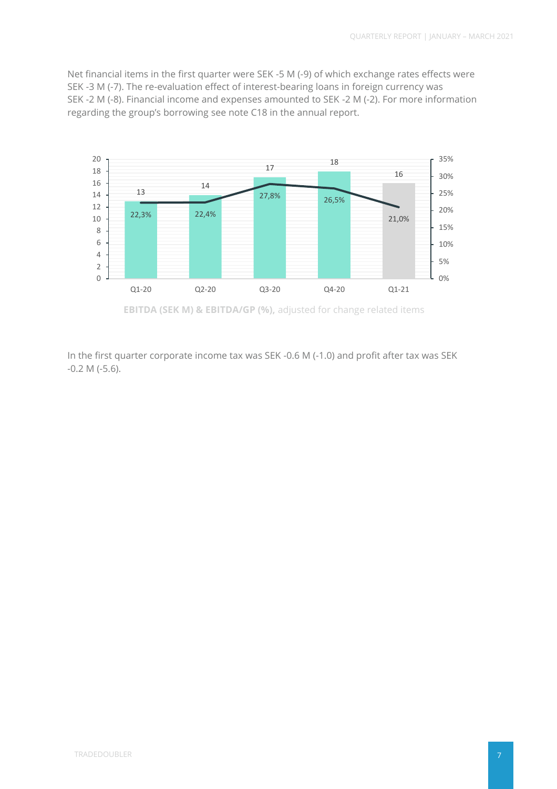Net financial items in the first quarter were SEK -5 M (-9) of which exchange rates effects were SEK -3 M (-7). The re-evaluation effect of interest-bearing loans in foreign currency was SEK -2 M (-8). Financial income and expenses amounted to SEK -2 M (-2). For more information regarding the group's borrowing see note C18 in the annual report.



In the first quarter corporate income tax was SEK -0.6 M (-1.0) and profit after tax was SEK -0.2 M (-5.6).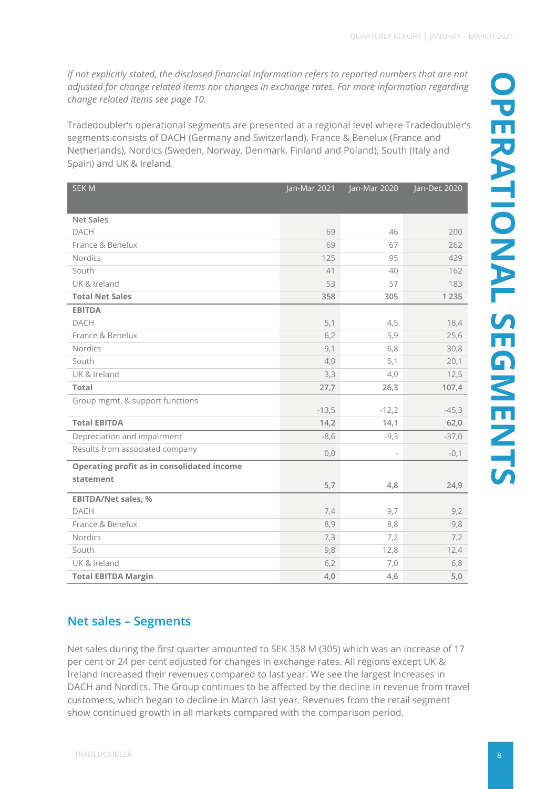*If not explicitly stated, the disclosed financial information refers to reported numbers that are not adjusted for change related items nor changes in exchange rates. For more information regarding change related items see page 10.*

Tradedoubler's operational segments are presented at a regional level where Tradedoubler's segments consists of DACH (Germany and Switzerland), France & Benelux (France and Netherlands), Nordics (Sweden, Norway, Denmark, Finland and Poland), South (Italy and Spain) and UK & Ireland.

| <b>SEKM</b>                                | Jan-Mar 2021 | Jan-Mar 2020 | Jan-Dec 2020 |
|--------------------------------------------|--------------|--------------|--------------|
|                                            |              |              |              |
| <b>Net Sales</b>                           |              |              |              |
| <b>DACH</b>                                | 69           | 46           | 200          |
| France & Benelux                           | 69           | 67           | 262          |
| Nordics                                    | 125          | 95           | 429          |
| South                                      | 41           | 40           | 162          |
| UK & Ireland                               | 53           | 57           | 183          |
| <b>Total Net Sales</b>                     | 358          | 305          | 1 2 3 5      |
| <b>EBITDA</b>                              |              |              |              |
| DACH                                       | 5,1          | 4,5          | 18,4         |
| France & Benelux                           | 6,2          | 5,9          | 25,6         |
| Nordics                                    | 9,1          | 6,8          | 30,8         |
| South                                      | 4,0          | 5,1          | 20,1         |
| UK & Ireland                               | 3,3          | 4,0          | 12,5         |
| <b>Total</b>                               | 27,7         | 26,3         | 107,4        |
| Group mgmt. & support functions            |              |              |              |
|                                            | $-13,5$      | $-12,2$      | $-45,3$      |
| <b>Total EBITDA</b>                        | 14,2         | 14,1         | 62,0         |
| Depreciation and impairment                | $-8,6$       | $-9,3$       | $-37,0$      |
| Results from associated company            | 0,0          |              | $-0,1$       |
| Operating profit as in consolidated income |              |              |              |
| statement                                  | 5,7          | 4,8          | 24,9         |
|                                            |              |              |              |
| <b>EBITDA/Net sales, %</b><br><b>DACH</b>  |              |              |              |
|                                            | 7,4          | 9,7          | 9,2          |
| France & Benelux                           | 8,9          | 8,8          | 9,8          |
| Nordics                                    | 7,3          | 7,2          | 7,2          |
| South                                      | 9,8          | 12,8         | 12,4         |
| UK & Ireland                               | 6,2          | 7,0          | 6,8          |
| <b>Total EBITDA Margin</b>                 | 4,0          | 4,6          | 5,0          |

# **Net sales – Segments**

Net sales during the first quarter amounted to SEK 358 M (305) which was an increase of 17 per cent or 24 per cent adjusted for changes in exchange rates. All regions except UK & Ireland increased their revenues compared to last year. We see the largest increases in DACH and Nordics. The Group continues to be affected by the decline in revenue from travel customers, which began to decline in March last year. Revenues from the retail segment show continued growth in all markets compared with the comparison period.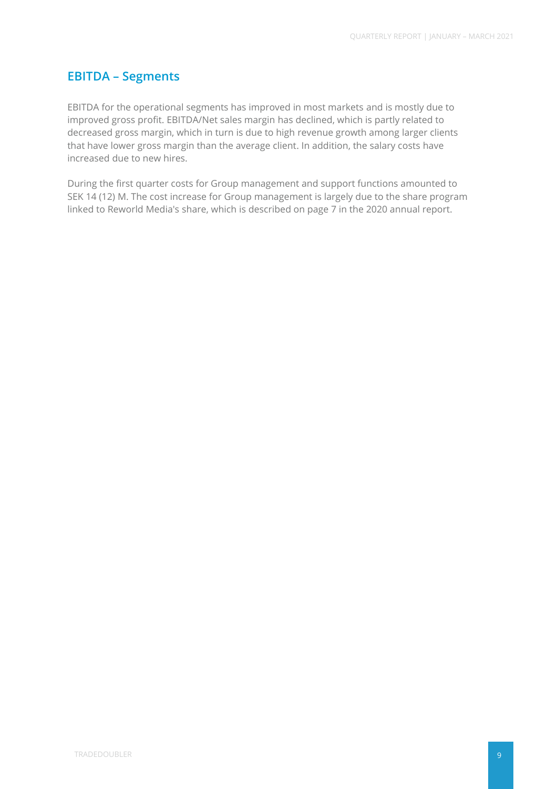### **EBITDA – Segments**

EBITDA for the operational segments has improved in most markets and is mostly due to improved gross profit. EBITDA/Net sales margin has declined, which is partly related to decreased gross margin, which in turn is due to high revenue growth among larger clients that have lower gross margin than the average client. In addition, the salary costs have increased due to new hires.

During the first quarter costs for Group management and support functions amounted to SEK 14 (12) M. The cost increase for Group management is largely due to the share program linked to Reworld Media's share, which is described on page 7 in the 2020 annual report.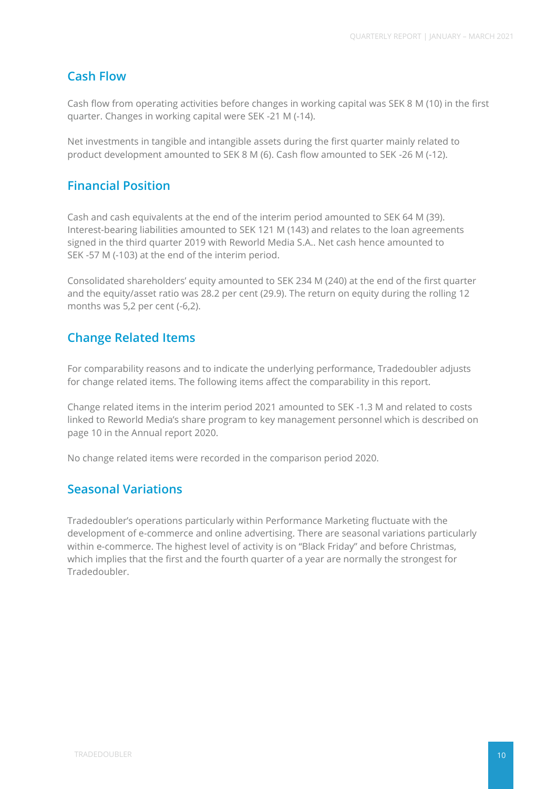## **Cash Flow**

Cash flow from operating activities before changes in working capital was SEK 8 M (10) in the first quarter. Changes in working capital were SEK -21 M (-14).

Net investments in tangible and intangible assets during the first quarter mainly related to product development amounted to SEK 8 M (6). Cash flow amounted to SEK -26 M (-12).

## **Financial Position**

Cash and cash equivalents at the end of the interim period amounted to SEK 64 M (39). Interest-bearing liabilities amounted to SEK 121 M (143) and relates to the loan agreements signed in the third quarter 2019 with Reworld Media S.A.. Net cash hence amounted to SEK -57 M (-103) at the end of the interim period.

Consolidated shareholders' equity amounted to SEK 234 M (240) at the end of the first quarter and the equity/asset ratio was 28.2 per cent (29.9). The return on equity during the rolling 12 months was 5,2 per cent (-6,2).

## **Change Related Items**

For comparability reasons and to indicate the underlying performance, Tradedoubler adjusts for change related items. The following items affect the comparability in this report.

Change related items in the interim period 2021 amounted to SEK -1.3 M and related to costs linked to Reworld Media's share program to key management personnel which is described on page 10 in the Annual report 2020.

No change related items were recorded in the comparison period 2020.

## **Seasonal Variations**

Tradedoubler's operations particularly within Performance Marketing fluctuate with the development of e-commerce and online advertising. There are seasonal variations particularly within e-commerce. The highest level of activity is on "Black Friday" and before Christmas, which implies that the first and the fourth quarter of a year are normally the strongest for Tradedoubler.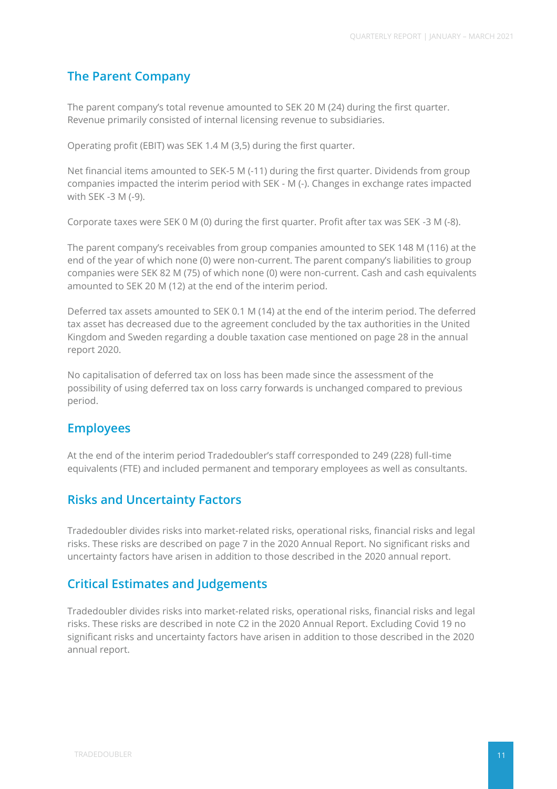## **The Parent Company**

The parent company's total revenue amounted to SEK 20 M (24) during the first quarter. Revenue primarily consisted of internal licensing revenue to subsidiaries.

Operating profit (EBIT) was SEK 1.4 M (3,5) during the first quarter.

Net financial items amounted to SEK-5 M (-11) during the first quarter. Dividends from group companies impacted the interim period with SEK - M (-). Changes in exchange rates impacted with SEK -3 M (-9).

Corporate taxes were SEK 0 M (0) during the first quarter. Profit after tax was SEK -3 M (-8).

The parent company's receivables from group companies amounted to SEK 148 M (116) at the end of the year of which none (0) were non-current. The parent company's liabilities to group companies were SEK 82 M (75) of which none (0) were non-current. Cash and cash equivalents amounted to SEK 20 M (12) at the end of the interim period.

Deferred tax assets amounted to SEK 0.1 M (14) at the end of the interim period. The deferred tax asset has decreased due to the agreement concluded by the tax authorities in the United Kingdom and Sweden regarding a double taxation case mentioned on page 28 in the annual report 2020.

No capitalisation of deferred tax on loss has been made since the assessment of the possibility of using deferred tax on loss carry forwards is unchanged compared to previous period.

### **Employees**

At the end of the interim period Tradedoubler's staff corresponded to 249 (228) full-time equivalents (FTE) and included permanent and temporary employees as well as consultants.

### **Risks and Uncertainty Factors**

Tradedoubler divides risks into market-related risks, operational risks, financial risks and legal risks. These risks are described on page 7 in the 2020 Annual Report. No significant risks and uncertainty factors have arisen in addition to those described in the 2020 annual report.

## **Critical Estimates and Judgements**

Tradedoubler divides risks into market-related risks, operational risks, financial risks and legal risks. These risks are described in note C2 in the 2020 Annual Report. Excluding Covid 19 no significant risks and uncertainty factors have arisen in addition to those described in the 2020 annual report.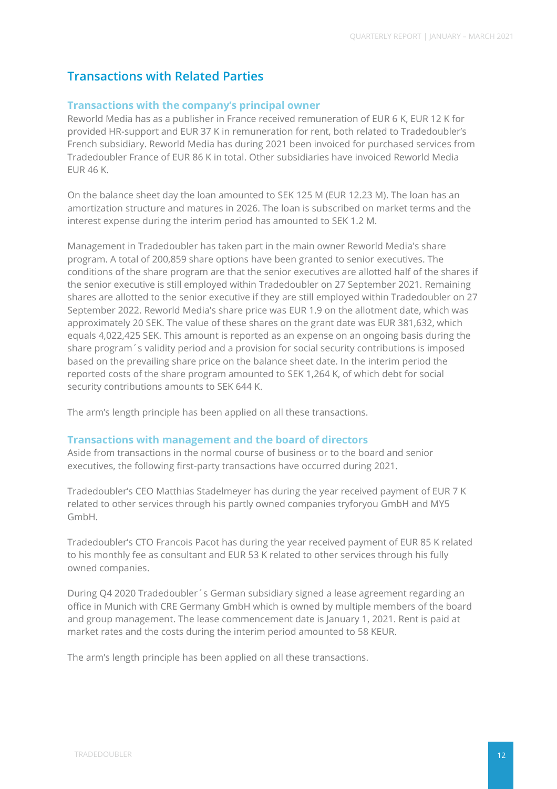## **Transactions with Related Parties**

### **Transactions with the company's principal owner**

Reworld Media has as a publisher in France received remuneration of EUR 6 K, EUR 12 K for provided HR-support and EUR 37 K in remuneration for rent, both related to Tradedoubler's French subsidiary. Reworld Media has during 2021 been invoiced for purchased services from Tradedoubler France of EUR 86 K in total. Other subsidiaries have invoiced Reworld Media EUR 46 K.

On the balance sheet day the loan amounted to SEK 125 M (EUR 12.23 M). The loan has an amortization structure and matures in 2026. The loan is subscribed on market terms and the interest expense during the interim period has amounted to SEK 1.2 M.

Management in Tradedoubler has taken part in the main owner Reworld Media's share program. A total of 200,859 share options have been granted to senior executives. The conditions of the share program are that the senior executives are allotted half of the shares if the senior executive is still employed within Tradedoubler on 27 September 2021. Remaining shares are allotted to the senior executive if they are still employed within Tradedoubler on 27 September 2022. Reworld Media's share price was EUR 1.9 on the allotment date, which was approximately 20 SEK. The value of these shares on the grant date was EUR 381,632, which equals 4,022,425 SEK. This amount is reported as an expense on an ongoing basis during the share program´s validity period and a provision for social security contributions is imposed based on the prevailing share price on the balance sheet date. In the interim period the reported costs of the share program amounted to SEK 1,264 K, of which debt for social security contributions amounts to SEK 644 K.

The arm's length principle has been applied on all these transactions.

### **Transactions with management and the board of directors**

Aside from transactions in the normal course of business or to the board and senior executives, the following first-party transactions have occurred during 2021.

Tradedoubler's CEO Matthias Stadelmeyer has during the year received payment of EUR 7 K related to other services through his partly owned companies tryforyou GmbH and MY5 GmbH.

Tradedoubler's CTO Francois Pacot has during the year received payment of EUR 85 K related to his monthly fee as consultant and EUR 53 K related to other services through his fully owned companies.

During Q4 2020 Tradedoubler´s German subsidiary signed a lease agreement regarding an office in Munich with CRE Germany GmbH which is owned by multiple members of the board and group management. The lease commencement date is January 1, 2021. Rent is paid at market rates and the costs during the interim period amounted to 58 KEUR.

The arm's length principle has been applied on all these transactions.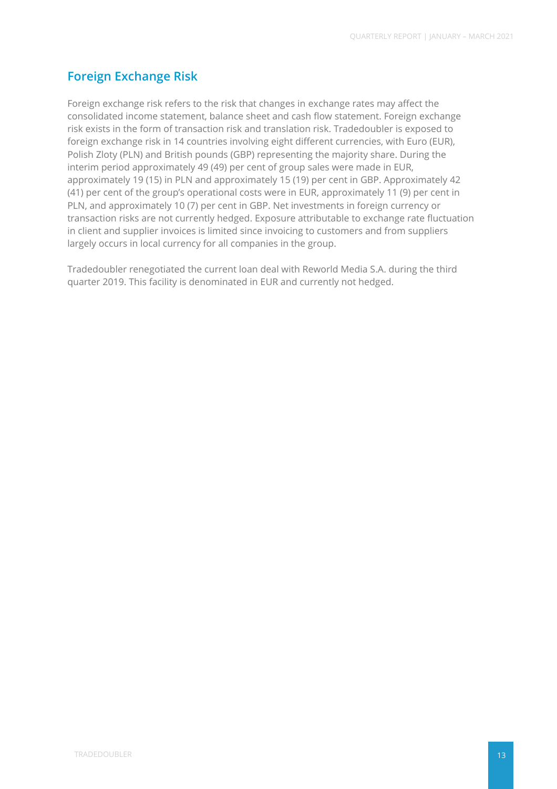## **Foreign Exchange Risk**

Foreign exchange risk refers to the risk that changes in exchange rates may affect the consolidated income statement, balance sheet and cash flow statement. Foreign exchange risk exists in the form of transaction risk and translation risk. Tradedoubler is exposed to foreign exchange risk in 14 countries involving eight different currencies, with Euro (EUR), Polish Zloty (PLN) and British pounds (GBP) representing the majority share. During the interim period approximately 49 (49) per cent of group sales were made in EUR, approximately 19 (15) in PLN and approximately 15 (19) per cent in GBP. Approximately 42 (41) per cent of the group's operational costs were in EUR, approximately 11 (9) per cent in PLN, and approximately 10 (7) per cent in GBP. Net investments in foreign currency or transaction risks are not currently hedged. Exposure attributable to exchange rate fluctuation in client and supplier invoices is limited since invoicing to customers and from suppliers largely occurs in local currency for all companies in the group.

Tradedoubler renegotiated the current loan deal with Reworld Media S.A. during the third quarter 2019. This facility is denominated in EUR and currently not hedged.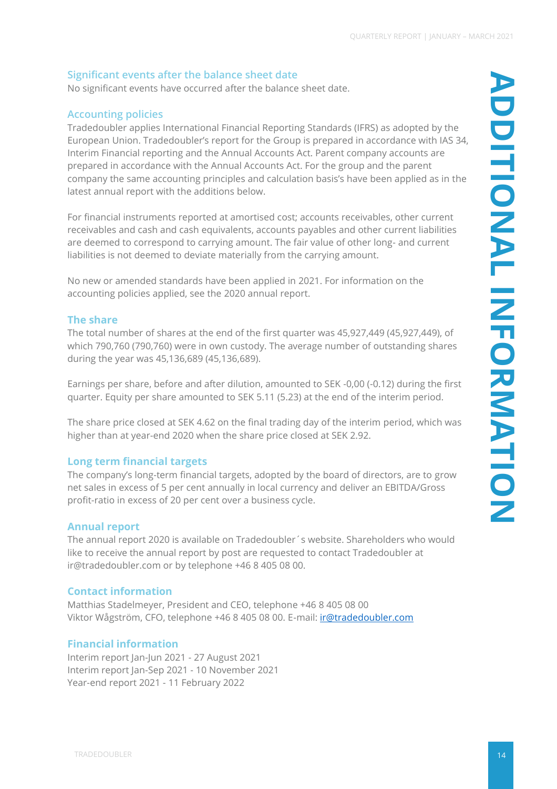### **Significant events after the balance sheet date**

No significant events have occurred after the balance sheet date.

### **Accounting policies**

Tradedoubler applies International Financial Reporting Standards (IFRS) as adopted by the European Union. Tradedoubler's report for the Group is prepared in accordance with IAS 34, Interim Financial reporting and the Annual Accounts Act. Parent company accounts are prepared in accordance with the Annual Accounts Act. For the group and the parent company the same accounting principles and calculation basis's have been applied as in the latest annual report with the additions below.

For financial instruments reported at amortised cost; accounts receivables, other current receivables and cash and cash equivalents, accounts payables and other current liabilities are deemed to correspond to carrying amount. The fair value of other long- and current liabilities is not deemed to deviate materially from the carrying amount.

No new or amended standards have been applied in 2021. For information on the accounting policies applied, see the 2020 annual report.

### **The share**

The total number of shares at the end of the first quarter was 45,927,449 (45,927,449), of which 790,760 (790,760) were in own custody. The average number of outstanding shares during the year was 45,136,689 (45,136,689).

Earnings per share, before and after dilution, amounted to SEK -0,00 (-0.12) during the first quarter. Equity per share amounted to SEK 5.11 (5.23) at the end of the interim period.

The share price closed at SEK 4.62 on the final trading day of the interim period, which was higher than at year-end 2020 when the share price closed at SEK 2.92.

### **Long term financial targets**

The company's long-term financial targets, adopted by the board of directors, are to grow net sales in excess of 5 per cent annually in local currency and deliver an EBITDA/Gross profit-ratio in excess of 20 per cent over a business cycle.

### **Annual report**

The annual report 2020 is available on Tradedoubler´s website. Shareholders who would like to receive the annual report by post are requested to contact Tradedoubler at ir@tradedoubler.com or by telephone +46 8 405 08 00.

### **Contact information**

Matthias Stadelmeyer, President and CEO, telephone +46 8 405 08 00 Viktor Wågström, CFO, telephone +46 8 405 08 00. E-mail: *ir@tradedoubler.com* 

### **Financial information**

Interim report Jan-Jun 2021 - 27 August 2021 Interim report Jan-Sep 2021 - 10 November 2021 Year-end report 2021 - 11 February 2022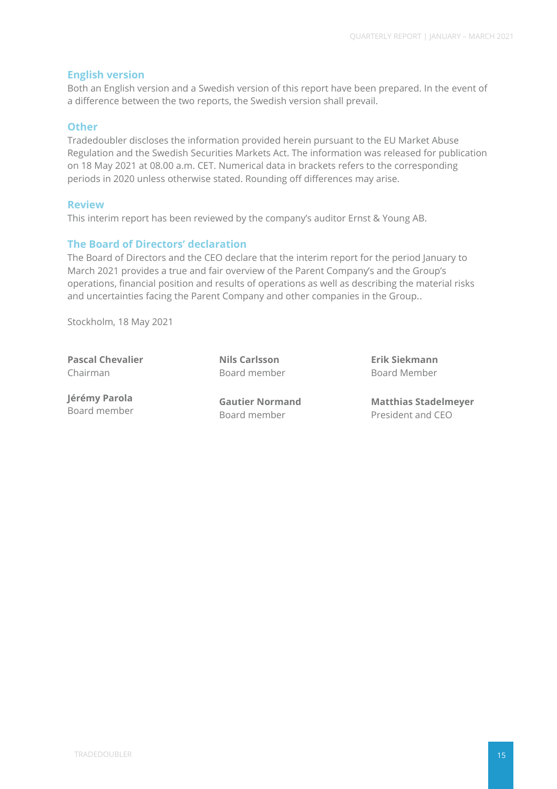### **English version**

Both an English version and a Swedish version of this report have been prepared. In the event of a difference between the two reports, the Swedish version shall prevail.

#### **Other**

Tradedoubler discloses the information provided herein pursuant to the EU Market Abuse Regulation and the Swedish Securities Markets Act. The information was released for publication on 18 May 2021 at 08.00 a.m. CET. Numerical data in brackets refers to the corresponding periods in 2020 unless otherwise stated. Rounding off differences may arise.

#### **Review**

This interim report has been reviewed by the company's auditor Ernst & Young AB.

### **The Board of Directors' declaration**

The Board of Directors and the CEO declare that the interim report for the period January to March 2021 provides a true and fair overview of the Parent Company's and the Group's operations, financial position and results of operations as well as describing the material risks and uncertainties facing the Parent Company and other companies in the Group..

Stockholm, 18 May 2021

**Pascal Chevalier** Chairman

**Nils Carlsson** Board member **Erik Siekmann** Board Member

**Jérémy Parola** Board member

**Gautier Normand** Board member

**Matthias Stadelmeyer** President and CEO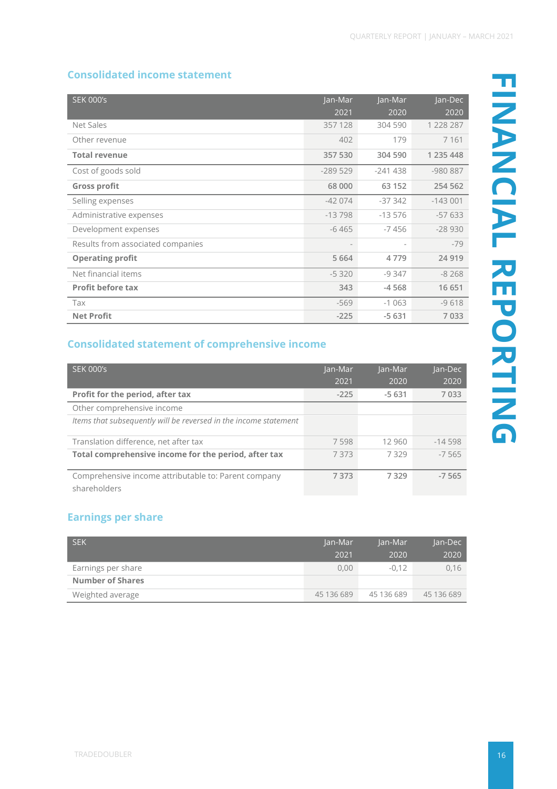### **Consolidated income statement**

| <b>SEK 000's</b>                  | Jan-Mar                  | Jan-Mar                  | Jan-Dec   |
|-----------------------------------|--------------------------|--------------------------|-----------|
|                                   | 2021                     | 2020                     | 2020      |
| Net Sales                         | 357 128                  | 304 590                  | 1 228 287 |
| Other revenue                     | 402                      | 179                      | 7 1 6 1   |
| <b>Total revenue</b>              | 357 530                  | 304 590                  | 1 235 448 |
| Cost of goods sold                | $-289529$                | $-241438$                | $-980887$ |
| <b>Gross profit</b>               | 68 000                   | 63 152                   | 254 562   |
| Selling expenses                  | $-42074$                 | $-37342$                 | $-143001$ |
| Administrative expenses           | $-13798$                 | $-13576$                 | $-57633$  |
| Development expenses              | $-6465$                  | $-7456$                  | $-28930$  |
| Results from associated companies | $\overline{\phantom{a}}$ | $\overline{\phantom{a}}$ | $-79$     |
| <b>Operating profit</b>           | 5 6 6 4                  | 4779                     | 24 9 19   |
| Net financial items               | $-5320$                  | $-9347$                  | $-8268$   |
| <b>Profit before tax</b>          | 343                      | $-4568$                  | 16 651    |
| Tax                               | $-569$                   | $-1063$                  | $-9618$   |
| <b>Net Profit</b>                 | $-225$                   | $-5631$                  | 7033      |

## **Consolidated statement of comprehensive income**

| <b>SEK 000's</b>                                                     | Jan-Mar | Jan-Mar | Jan-Dec  |
|----------------------------------------------------------------------|---------|---------|----------|
|                                                                      | 2021    | 2020    | 2020     |
| Profit for the period, after tax                                     | $-225$  | $-5631$ | 7033     |
| Other comprehensive income                                           |         |         |          |
| Items that subsequently will be reversed in the income statement     |         |         |          |
| Translation difference, net after tax                                | 7598    | 12 960  | $-14598$ |
| Total comprehensive income for the period, after tax                 | 7373    | 7329    | $-7565$  |
| Comprehensive income attributable to: Parent company<br>shareholders | 7373    | 7329    | $-7,565$ |

## **Earnings per share**

| <b>SEK</b>              | Jan-Mar    |            | Jan-Dec    |
|-------------------------|------------|------------|------------|
|                         | 2021       | 2020       | 2020       |
| Earnings per share      | 0.00       | $-0.12$    | 0.16       |
| <b>Number of Shares</b> |            |            |            |
| Weighted average        | 45 136 689 | 45 136 689 | 45 136 689 |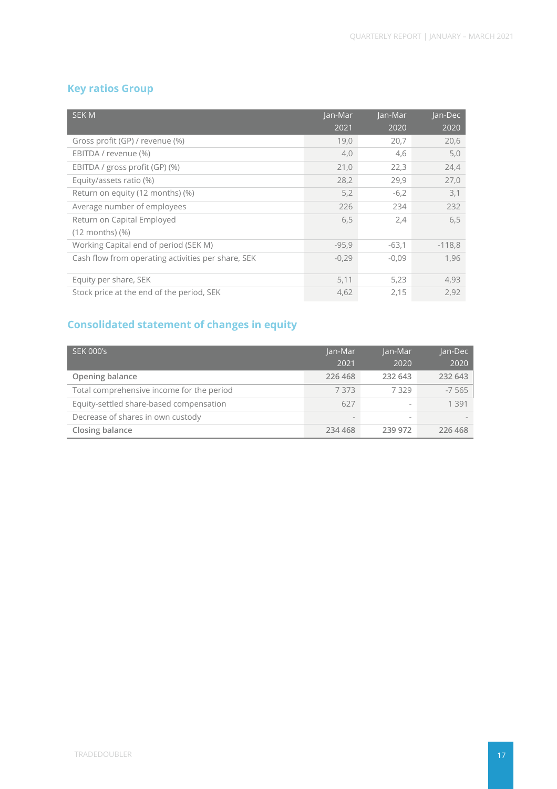## **Key ratios Group**

| <b>SEKM</b>                                        | Jan-Mar | Jan-Mar | Jan-Dec  |
|----------------------------------------------------|---------|---------|----------|
|                                                    | 2021    | 2020    | 2020     |
| Gross profit (GP) / revenue (%)                    | 19,0    | 20,7    | 20,6     |
| EBITDA / revenue (%)                               | 4,0     | 4,6     | 5,0      |
| EBITDA / gross profit (GP) (%)                     | 21,0    | 22,3    | 24,4     |
| Equity/assets ratio (%)                            | 28,2    | 29,9    | 27,0     |
| Return on equity (12 months) (%)                   | 5,2     | $-6,2$  | 3,1      |
| Average number of employees                        | 226     | 234     | 232      |
| Return on Capital Employed                         | 6,5     | 2,4     | 6,5      |
| $(12$ months) $(\%)$                               |         |         |          |
| Working Capital end of period (SEK M)              | $-95,9$ | $-63,1$ | $-118,8$ |
| Cash flow from operating activities per share, SEK | $-0,29$ | $-0,09$ | 1,96     |
|                                                    |         |         |          |
| Equity per share, SEK                              | 5,11    | 5,23    | 4,93     |
| Stock price at the end of the period, SEK          | 4,62    | 2,15    | 2,92     |

# **Consolidated statement of changes in equity**

| <b>SEK 000's</b>                          | Jan-Mar | Jan-Mar                  | Jan-Dec |
|-------------------------------------------|---------|--------------------------|---------|
|                                           | 2021    | 2020                     | 2020    |
| Opening balance                           | 226 468 | 232 643                  | 232 643 |
| Total comprehensive income for the period | 7373    | 7329                     | $-7565$ |
| Equity-settled share-based compensation   | 627     | $\overline{\phantom{a}}$ | 1 3 9 1 |
| Decrease of shares in own custody         |         | $\overline{\phantom{a}}$ |         |
| Closing balance                           | 234 468 | 239 972                  | 226 468 |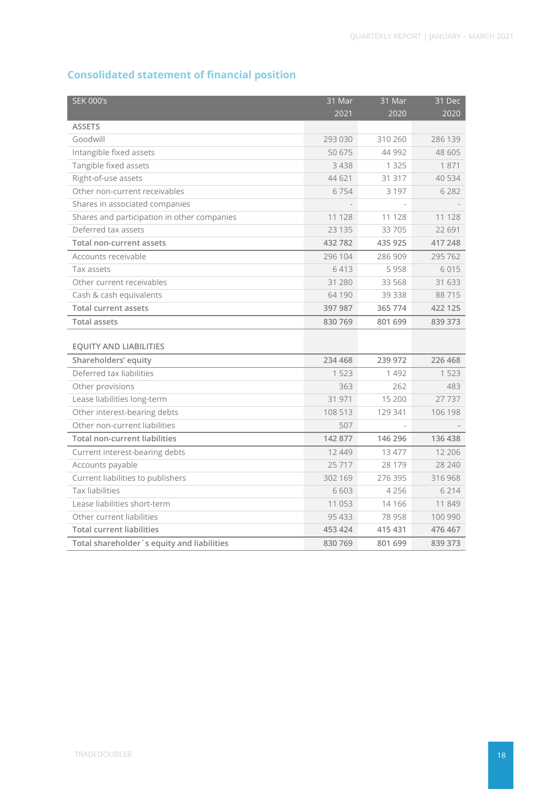# **Consolidated statement of financial position**

| <b>SEK 000's</b>                            | 31 Mar  | 31 Mar  | 31 Dec  |
|---------------------------------------------|---------|---------|---------|
|                                             | 2021    | 2020    | 2020    |
| <b>ASSETS</b>                               |         |         |         |
| Goodwill                                    | 293 030 | 310 260 | 286 139 |
| Intangible fixed assets                     | 50 675  | 44 992  | 48 605  |
| Tangible fixed assets                       | 3 4 3 8 | 1 3 2 5 | 1871    |
| Right-of-use assets                         | 44 621  | 31 317  | 40 534  |
| Other non-current receivables               | 6754    | 3 1 9 7 | 6 2 8 2 |
| Shares in associated companies              |         |         |         |
| Shares and participation in other companies | 11 128  | 11 128  | 11 128  |
| Deferred tax assets                         | 23 135  | 33 705  | 22 691  |
| <b>Total non-current assets</b>             | 432 782 | 435 925 | 417 248 |
| Accounts receivable                         | 296 104 | 286 909 | 295 762 |
| Tax assets                                  | 6413    | 5958    | 6015    |
| Other current receivables                   | 31 280  | 33 568  | 31 633  |
| Cash & cash equivalents                     | 64 190  | 39 338  | 88715   |
| <b>Total current assets</b>                 | 397 987 | 365 774 | 422 125 |
| <b>Total assets</b>                         | 830 769 | 801 699 | 839 373 |
|                                             |         |         |         |
| <b>EQUITY AND LIABILITIES</b>               |         |         |         |
| Shareholders' equity                        | 234 468 | 239 972 | 226 468 |
| Deferred tax liabilities                    | 1 5 2 3 | 1 4 9 2 | 1 5 2 3 |
| Other provisions                            | 363     | 262     | 483     |
| Lease liabilities long-term                 | 31 971  | 15 200  | 27737   |
| Other interest-bearing debts                | 108 513 | 129 341 | 106 198 |
| Other non-current liabilities               | 507     |         |         |
| <b>Total non-current liabilities</b>        | 142 877 | 146 296 | 136 438 |
| Current interest-bearing debts              | 12 449  | 13 477  | 12 20 6 |
| Accounts payable                            | 25717   | 28 179  | 28 240  |
| Current liabilities to publishers           | 302 169 | 276 395 | 316 968 |
| <b>Tax liabilities</b>                      | 6 603   | 4 2 5 6 | 6 2 1 4 |
| Lease liabilities short-term                | 11 053  | 14 16 6 | 11 849  |
| Other current liabilities                   | 95 433  | 78 958  | 100 990 |
| <b>Total current liabilities</b>            | 453 424 | 415 431 | 476 467 |
| Total shareholder's equity and liabilities  | 830 769 | 801 699 | 839 373 |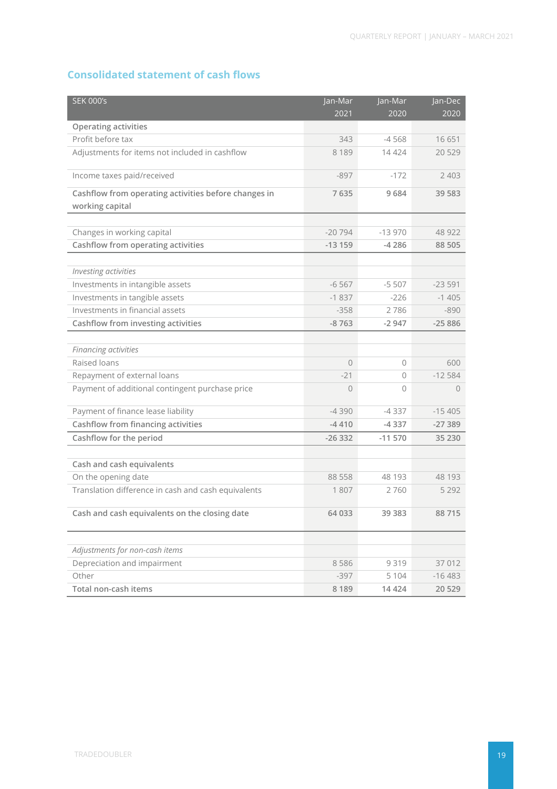## **Consolidated statement of cash flows**

| <b>SEK 000's</b>                                     | Jan-Mar        | Jan-Mar  | Jan-Dec   |
|------------------------------------------------------|----------------|----------|-----------|
|                                                      | 2021           | 2020     | 2020      |
| <b>Operating activities</b>                          |                |          |           |
| Profit before tax                                    | 343            | $-4568$  | 16651     |
| Adjustments for items not included in cashflow       | 8 1 8 9        | 14 4 24  | 20 5 29   |
| Income taxes paid/received                           | $-897$         | $-172$   | 2 4 0 3   |
| Cashflow from operating activities before changes in | 7635           | 9684     | 39 583    |
| working capital                                      |                |          |           |
|                                                      |                |          |           |
| Changes in working capital                           | $-20794$       | $-13970$ | 48 922    |
| Cashflow from operating activities                   | $-13159$       | -4 286   | 88 505    |
|                                                      |                |          |           |
| Investing activities                                 |                |          |           |
| Investments in intangible assets                     | $-6567$        | $-5507$  | $-23591$  |
| Investments in tangible assets                       | $-1837$        | $-226$   | $-1405$   |
| Investments in financial assets                      | $-358$         | 2786     | $-890$    |
| Cashflow from investing activities                   | $-8763$        | $-2947$  | $-25886$  |
|                                                      |                |          |           |
| Financing activities                                 |                |          |           |
| Raised loans                                         | 0              | 0        | 600       |
| Repayment of external loans                          | $-21$          | 0        | $-12584$  |
| Payment of additional contingent purchase price      | $\overline{O}$ | $\Omega$ | $\bigcap$ |
| Payment of finance lease liability                   | $-4390$        | $-4337$  | $-15405$  |
| Cashflow from financing activities                   | $-4410$        | $-4337$  | $-27389$  |
| Cashflow for the period                              | $-26332$       | $-11570$ | 35 230    |
|                                                      |                |          |           |
| Cash and cash equivalents                            |                |          |           |
| On the opening date                                  | 88 558         | 48 193   | 48 193    |
| Translation difference in cash and cash equivalents  | 1807           | 2760     | 5 2 9 2   |
| Cash and cash equivalents on the closing date        | 64 033         | 39 38 3  | 88715     |
|                                                      |                |          |           |
| Adjustments for non-cash items                       |                |          |           |
| Depreciation and impairment                          | 8586           | 9319     | 37 012    |
| Other                                                | $-397$         | 5 1 0 4  | $-16483$  |
| Total non-cash items                                 | 8 1 8 9        | 14 4 24  | 20 5 29   |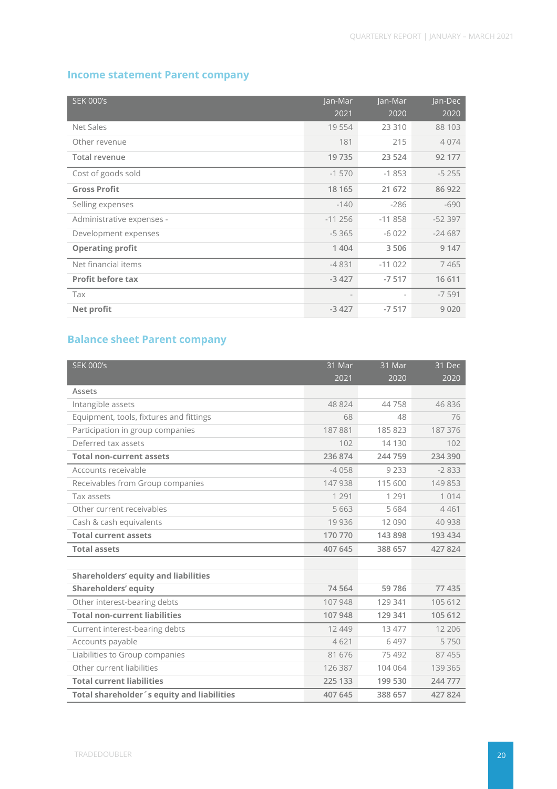### **Income statement Parent company**

| <b>SEK 000's</b>          | Jan-Mar  | Jan-Mar                  | Jan-Dec  |
|---------------------------|----------|--------------------------|----------|
|                           | 2021     | 2020                     | 2020     |
| Net Sales                 | 19 554   | 23 310                   | 88 103   |
| Other revenue             | 181      | 215                      | 4074     |
| Total revenue             | 19735    | 23 5 24                  | 92 177   |
| Cost of goods sold        | $-1570$  | $-1853$                  | $-5255$  |
| <b>Gross Profit</b>       | 18 165   | 21 672                   | 86 922   |
| Selling expenses          | $-140$   | $-286$                   | $-690$   |
| Administrative expenses - | $-11256$ | $-11858$                 | $-52397$ |
| Development expenses      | $-5365$  | $-6022$                  | $-24687$ |
| <b>Operating profit</b>   | 1 4 0 4  | 3506                     | 9 1 4 7  |
| Net financial items       | $-4831$  | $-11022$                 | 7465     |
| <b>Profit before tax</b>  | $-3427$  | $-7517$                  | 16 611   |
| Tax                       |          | $\overline{\phantom{a}}$ | $-7591$  |
| Net profit                | $-3427$  | $-7517$                  | 9020     |

## **Balance sheet Parent company**

| <b>SEK 000's</b>                            | 31 Mar   | 31 Mar  | 31 Dec  |
|---------------------------------------------|----------|---------|---------|
|                                             | 2021     | 2020    | 2020    |
| Assets                                      |          |         |         |
| Intangible assets                           | 48 824   | 44758   | 46836   |
| Equipment, tools, fixtures and fittings     | 68       | 48      | 76      |
| Participation in group companies            | 187881   | 185 823 | 187 376 |
| Deferred tax assets                         | 102      | 14 130  | 102     |
| <b>Total non-current assets</b>             | 236 874  | 244 759 | 234 390 |
| Accounts receivable                         | $-4058$  | 9 2 3 3 | $-2833$ |
| Receivables from Group companies            | 147 938  | 115 600 | 149853  |
| Tax assets                                  | 1 2 9 1  | 1 2 9 1 | 1014    |
| Other current receivables                   | 5 6 6 3  | 5684    | 4461    |
| Cash & cash equivalents                     | 19 9 36  | 12 090  | 40 938  |
| <b>Total current assets</b>                 | 170 770  | 143 898 | 193 434 |
| <b>Total assets</b>                         | 407 645  | 388 657 | 427 824 |
|                                             |          |         |         |
| <b>Shareholders' equity and liabilities</b> |          |         |         |
| <b>Shareholders' equity</b>                 | 74 5 64  | 59786   | 77 435  |
| Other interest-bearing debts                | 107948   | 129 341 | 105 612 |
| <b>Total non-current liabilities</b>        | 107 948  | 129 341 | 105 612 |
| Current interest-bearing debts              | 12 4 4 9 | 13 477  | 12 20 6 |
| Accounts payable                            | 4621     | 6497    | 5750    |
| Liabilities to Group companies              | 81 676   | 75 492  | 87 455  |
| Other current liabilities                   | 126 387  | 104 064 | 139 365 |
| <b>Total current liabilities</b>            | 225 133  | 199 530 | 244 777 |
| Total shareholder's equity and liabilities  | 407 645  | 388 657 | 427 824 |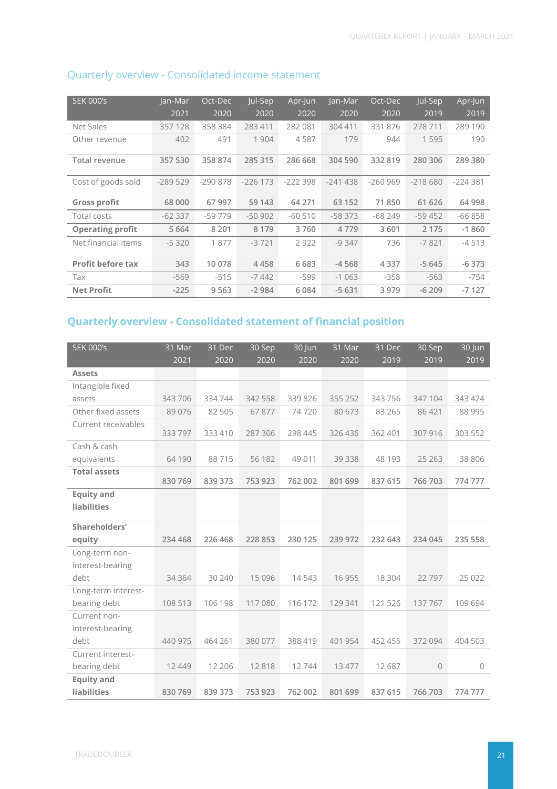| <b>SEK 000's</b>         | Jan-Mar   | Oct-Dec   | Jul-Sep    | Apr-Jun   | Jan-Mar   | Oct-Dec   | Jul-Sep   | Apr-Jun   |
|--------------------------|-----------|-----------|------------|-----------|-----------|-----------|-----------|-----------|
|                          | 2021      | 2020      | 2020       | 2020      | 2020      | 2020      | 2019      | 2019      |
| Net Sales                | 357128    | 358 384   | 283 411    | 282 081   | 304 411   | 331 876   | 278 711   | 289 190   |
| Other revenue            | 402       | 491       | 1 904      | 4587      | 179       | 944       | 1595      | 190       |
| Total revenue            | 357 530   | 358 874   | 285 315    | 286 668   | 304 590   | 332819    | 280 306   | 289 380   |
| Cost of goods sold       | $-289529$ | $-290878$ | $-226$ 173 | $-222398$ | $-241438$ | $-260969$ | $-218680$ | $-224381$ |
| <b>Gross profit</b>      | 68 000    | 67 997    | 59 143     | 64 271    | 63 152    | 71850     | 61 626    | 64 998    |
| Total costs              | $-62337$  | $-59779$  | $-50902$   | $-60510$  | $-58373$  | $-68249$  | $-59452$  | $-66858$  |
| <b>Operating profit</b>  | 5 6 6 4   | 8 2 0 1   | 8 1 7 9    | 3760      | 4779      | 3601      | 2 1 7 5   | $-1860$   |
| Net financial items      | $-5320$   | 1877      | $-3721$    | 2922      | $-9347$   | 736       | $-7821$   | $-4513$   |
| <b>Profit before tax</b> | 343       | 10 078    | 4458       | 6683      | $-4568$   | 4 3 3 7   | $-5645$   | $-6373$   |
| Tax                      | $-569$    | $-515$    | $-7442$    | $-599$    | $-1063$   | $-358$    | $-563$    | $-754$    |
| <b>Net Profit</b>        | $-225$    | 9 5 6 3   | $-2984$    | 6084      | $-5631$   | 3 9 7 9   | $-6209$   | $-7127$   |

### Quarterly overview - Consolidated income statement

# **Quarterly overview - Consolidated statement of financial position**

| <b>SEK 000's</b>    | 31 Mar<br>2021 | 31 Dec<br>2020 | 30 Sep<br>2020 | 30 Jun<br>2020 | 31 Mar<br>2020 | 31 Dec<br>2019 | 30 Sep<br>2019 | 30 Jun<br>2019 |
|---------------------|----------------|----------------|----------------|----------------|----------------|----------------|----------------|----------------|
| <b>Assets</b>       |                |                |                |                |                |                |                |                |
| Intangible fixed    |                |                |                |                |                |                |                |                |
| assets              | 343706         | 334 744        | 342 558        | 339 826        | 355 252        | 343 756        | 347104         | 343 424        |
| Other fixed assets  | 89 0 76        | 82 505         | 67877          | 74720          | 80 673         | 83 265         | 86 421         | 88 995         |
| Current receivables | 333 797        | 333 410        | 287 306        | 298 445        | 326 436        | 362 401        | 307 916        | 303 552        |
| Cash & cash         |                |                |                |                |                |                |                |                |
| equivalents         | 64 190         | 88715          | 56 182         | 49 011         | 39 338         | 48 193         | 25 26 3        | 38 806         |
| <b>Total assets</b> | 830 769        | 839 373        | 753 923        | 762 002        | 801 699        | 837 615        | 766 703        | 774777         |
| <b>Equity and</b>   |                |                |                |                |                |                |                |                |
| <b>liabilities</b>  |                |                |                |                |                |                |                |                |
| Shareholders'       |                |                |                |                |                |                |                |                |
| equity              | 234 468        | 226 468        | 228 853        | 230 125        | 239 972        | 232 643        | 234 045        | 235 558        |
| Long-term non-      |                |                |                |                |                |                |                |                |
| interest-bearing    |                |                |                |                |                |                |                |                |
| debt                | 34 364         | 30 240         | 15 0 96        | 14 5 43        | 16 955         | 18 304         | 22797          | 25 0 22        |
| Long-term interest- |                |                |                |                |                |                |                |                |
| bearing debt        | 108 513        | 106 198        | 117080         | 116 172        | 129 341        | 121 526        | 137767         | 109 694        |
| Current non-        |                |                |                |                |                |                |                |                |
| interest-bearing    |                |                |                |                |                |                |                |                |
| debt                | 440 975        | 464 261        | 380 077        | 388 419        | 401 954        | 452 455        | 372094         | 404 503        |
| Current interest-   |                |                |                |                |                |                |                |                |
| bearing debt        | 12 4 4 9       | 12 20 6        | 12818          | 12744          | 13 477         | 12 687         | $\mathbf 0$    | $\circ$        |
| <b>Equity and</b>   |                |                |                |                |                |                |                |                |
| <b>liabilities</b>  | 830 769        | 839 373        | 753 923        | 762 002        | 801 699        | 837 615        | 766 703        | 774777         |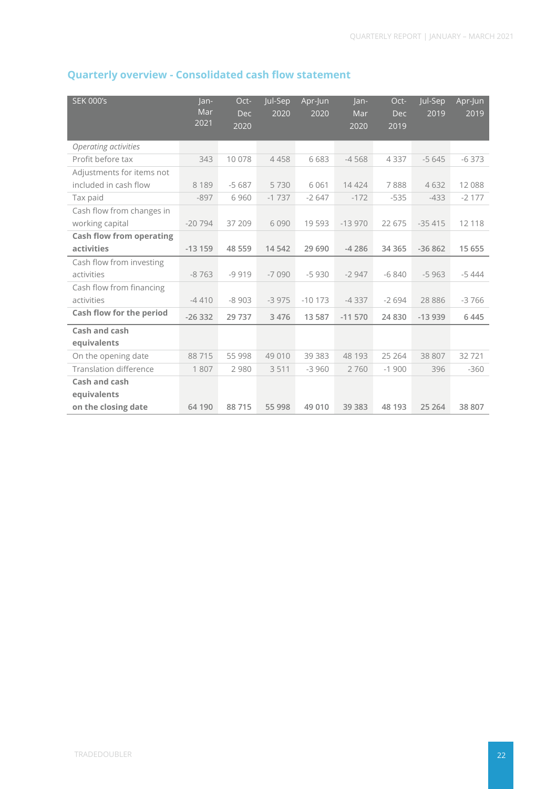# **Quarterly overview - Consolidated cash flow statement**

| <b>SEK 000's</b>                    | Jan-<br>Mar<br>2021 | Oct-<br><b>Dec</b><br>2020 | Jul-Sep<br>2020 | Apr-Jun<br>2020 | $lan-$<br>Mar<br>2020 | Oct-<br><b>Dec</b><br>2019 | Jul-Sep<br>2019 | Apr-Jun<br>2019 |
|-------------------------------------|---------------------|----------------------------|-----------------|-----------------|-----------------------|----------------------------|-----------------|-----------------|
| Operating activities                |                     |                            |                 |                 |                       |                            |                 |                 |
| Profit before tax                   | 343                 | 10 078                     | 4458            | 6683            | $-4568$               | 4337                       | $-5645$         | $-6373$         |
| Adjustments for items not           |                     |                            |                 |                 |                       |                            |                 |                 |
| included in cash flow               | 8 1 8 9             | $-5687$                    | 5730            | 6061            | 14 4 24               | 7888                       | 4632            | 12 088          |
| Tax paid                            | $-897$              | 6960                       | $-1737$         | $-2647$         | $-172$                | $-535$                     | $-433$          | $-2177$         |
| Cash flow from changes in           |                     |                            |                 |                 |                       |                            |                 |                 |
| working capital                     | $-20794$            | 37 209                     | 6090            | 19593           | $-13970$              | 22 675                     | $-35415$        | 12 118          |
| <b>Cash flow from operating</b>     |                     |                            |                 |                 |                       |                            |                 |                 |
| activities                          | $-13159$            | 48 559                     | 14 5 42         | 29 690          | $-4286$               | 34 3 65                    | $-36862$        | 15 655          |
| Cash flow from investing            |                     |                            |                 |                 |                       |                            |                 |                 |
| activities                          | $-8763$             | $-9919$                    | $-7090$         | $-5930$         | $-2947$               | $-6840$                    | $-5963$         | $-5444$         |
| Cash flow from financing            |                     |                            |                 |                 |                       |                            |                 |                 |
| activities                          | $-4410$             | $-8903$                    | $-3975$         | $-10173$        | $-4337$               | $-2694$                    | 28 8 8 6        | $-3766$         |
| Cash flow for the period            | $-26332$            | 29 737                     | 3 4 7 6         | 13 5 8 7        | $-11570$              | 24 8 30                    | $-13939$        | 6 4 4 5         |
| Cash and cash                       |                     |                            |                 |                 |                       |                            |                 |                 |
| equivalents                         |                     |                            |                 |                 |                       |                            |                 |                 |
| On the opening date                 | 88715               | 55 998                     | 49 010          | 39 3 8 3        | 48 193                | 25 264                     | 38 807          | 32721           |
| <b>Translation difference</b>       | 1807                | 2 9 8 0                    | 3511            | $-3960$         | 2760                  | $-1900$                    | 396             | $-360$          |
| <b>Cash and cash</b><br>equivalents |                     |                            |                 |                 |                       |                            |                 |                 |
| on the closing date                 | 64 190              | 88715                      | 55 998          | 49 0 10         | 39 383                | 48 193                     | 25 264          | 38 807          |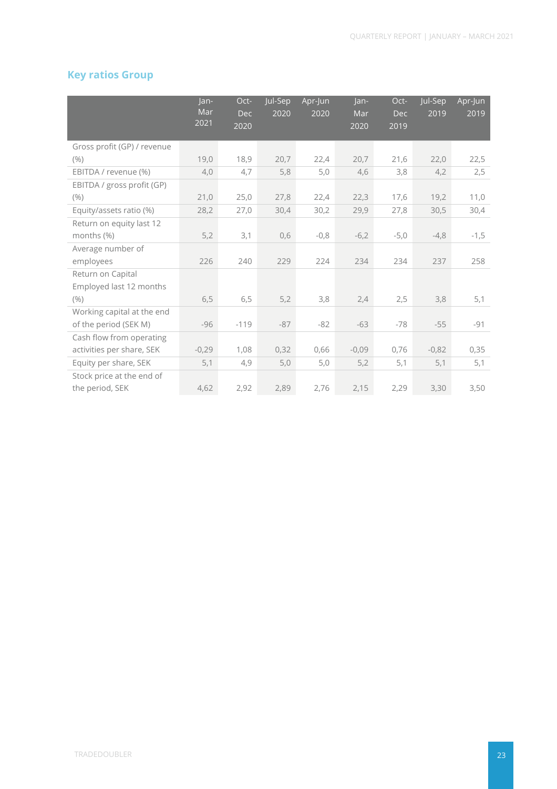### **Key ratios Group**

|                             | Jan-<br>Mar | Oct-<br><b>Dec</b> | Jul-Sep<br>2020 | Apr-Jun<br>2020 | lan-<br>Mar | Oct-<br><b>Dec</b> | Jul-Sep<br>2019 | Apr-Jun<br>2019 |
|-----------------------------|-------------|--------------------|-----------------|-----------------|-------------|--------------------|-----------------|-----------------|
|                             | 2021        | 2020               |                 |                 | 2020        | 2019               |                 |                 |
| Gross profit (GP) / revenue |             |                    |                 |                 |             |                    |                 |                 |
| (% )                        | 19,0        | 18,9               | 20,7            | 22,4            | 20,7        | 21,6               | 22,0            | 22,5            |
| EBITDA / revenue (%)        | 4,0         | 4,7                | 5,8             | 5,0             | 4,6         | 3,8                | 4,2             | 2,5             |
| EBITDA / gross profit (GP)  |             |                    |                 |                 |             |                    |                 |                 |
| (% )                        | 21,0        | 25,0               | 27,8            | 22,4            | 22,3        | 17,6               | 19,2            | 11,0            |
| Equity/assets ratio (%)     | 28,2        | 27,0               | 30,4            | 30,2            | 29,9        | 27,8               | 30,5            | 30,4            |
| Return on equity last 12    |             |                    |                 |                 |             |                    |                 |                 |
| months (%)                  | 5,2         | 3,1                | 0,6             | $-0,8$          | $-6,2$      | $-5,0$             | $-4,8$          | $-1,5$          |
| Average number of           |             |                    |                 |                 |             |                    |                 |                 |
| employees                   | 226         | 240                | 229             | 224             | 234         | 234                | 237             | 258             |
| Return on Capital           |             |                    |                 |                 |             |                    |                 |                 |
| Employed last 12 months     |             |                    |                 |                 |             |                    |                 |                 |
| (% )                        | 6,5         | 6,5                | 5,2             | 3,8             | 2,4         | 2,5                | 3,8             | 5,1             |
| Working capital at the end  |             |                    |                 |                 |             |                    |                 |                 |
| of the period (SEK M)       | $-96$       | $-119$             | $-87$           | $-82$           | $-63$       | $-78$              | $-55$           | $-91$           |
| Cash flow from operating    |             |                    |                 |                 |             |                    |                 |                 |
| activities per share, SEK   | $-0,29$     | 1,08               | 0,32            | 0,66            | $-0,09$     | 0,76               | $-0,82$         | 0,35            |
| Equity per share, SEK       | 5,1         | 4,9                | 5,0             | 5,0             | 5,2         | 5,1                | 5,1             | 5,1             |
| Stock price at the end of   |             |                    |                 |                 |             |                    |                 |                 |
| the period, SEK             | 4,62        | 2,92               | 2,89            | 2,76            | 2,15        | 2,29               | 3,30            | 3,50            |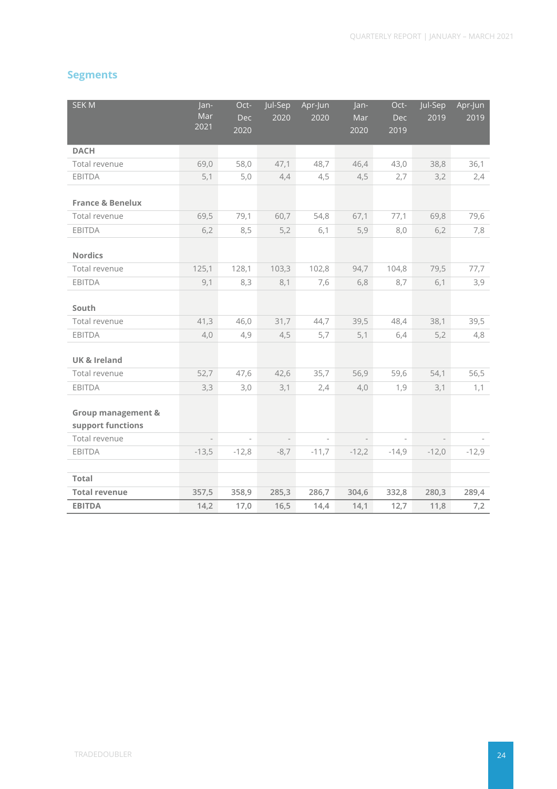### **Segments**

| <b>SEKM</b>                                        | Jan-<br>Mar<br>2021 | Oct-<br><b>Dec</b><br>2020 | Jul-Sep<br>2020          | Apr-Jun<br>2020 | Jan-<br>Mar<br>2020 | Oct-<br>Dec<br>2019 | Jul-Sep<br>2019          | Apr-Jun<br>2019 |
|----------------------------------------------------|---------------------|----------------------------|--------------------------|-----------------|---------------------|---------------------|--------------------------|-----------------|
| <b>DACH</b>                                        |                     |                            |                          |                 |                     |                     |                          |                 |
| Total revenue                                      | 69,0                | 58,0                       | 47,1                     | 48,7            | 46,4                | 43,0                | 38,8                     | 36,1            |
| <b>EBITDA</b>                                      | 5,1                 | 5,0                        | 4,4                      | 4,5             | 4,5                 | 2,7                 | 3,2                      | 2,4             |
| <b>France &amp; Benelux</b>                        |                     |                            |                          |                 |                     |                     |                          |                 |
| Total revenue                                      | 69,5                | 79,1                       | 60,7                     | 54,8            | 67,1                | 77,1                | 69,8                     | 79,6            |
| EBITDA                                             | 6,2                 | 8,5                        | 5,2                      | 6,1             | 5,9                 | 8,0                 | 6,2                      | 7,8             |
| <b>Nordics</b>                                     |                     |                            |                          |                 |                     |                     |                          |                 |
| Total revenue                                      | 125,1               | 128,1                      | 103,3                    | 102,8           | 94,7                | 104,8               | 79,5                     | 77,7            |
| EBITDA                                             | 9,1                 | 8,3                        | 8,1                      | 7,6             | 6,8                 | 8,7                 | 6,1                      | 3,9             |
| South                                              |                     |                            |                          |                 |                     |                     |                          |                 |
| Total revenue                                      | 41,3                | 46,0                       | 31,7                     | 44,7            | 39,5                | 48,4                | 38,1                     | 39,5            |
| <b>EBITDA</b>                                      | 4,0                 | 4,9                        | 4,5                      | 5,7             | 5,1                 | 6,4                 | 5,2                      | 4,8             |
| UK & Ireland                                       |                     |                            |                          |                 |                     |                     |                          |                 |
| Total revenue                                      | 52,7                | 47,6                       | 42,6                     | 35,7            | 56,9                | 59,6                | 54,1                     | 56,5            |
| EBITDA                                             | 3,3                 | 3,0                        | 3,1                      | 2,4             | 4,0                 | 1,9                 | 3,1                      | 1,1             |
| <b>Group management &amp;</b><br>support functions |                     |                            |                          |                 |                     |                     |                          |                 |
| Total revenue                                      |                     | $\overline{\phantom{a}}$   | $\overline{\phantom{a}}$ |                 |                     |                     | $\overline{\phantom{a}}$ |                 |
| EBITDA                                             | $-13,5$             | $-12,8$                    | $-8,7$                   | $-11,7$         | $-12,2$             | $-14,9$             | $-12,0$                  | $-12,9$         |
|                                                    |                     |                            |                          |                 |                     |                     |                          |                 |
| <b>Total</b>                                       |                     |                            |                          |                 |                     |                     |                          |                 |
| <b>Total revenue</b>                               | 357,5               | 358,9                      | 285,3                    | 286,7           | 304,6               | 332,8               | 280,3                    | 289,4           |
| <b>EBITDA</b>                                      | 14,2                | 17,0                       | 16,5                     | 14,4            | 14,1                | 12,7                | 11,8                     | 7,2             |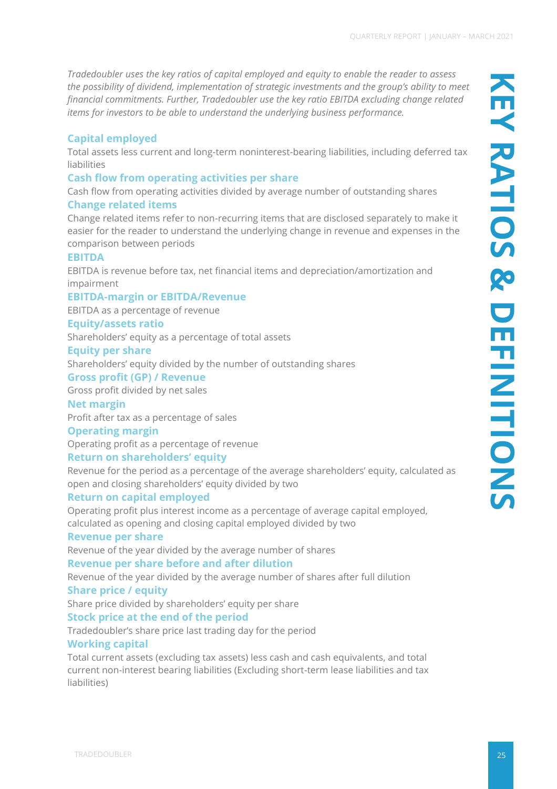*Tradedoubler uses the key ratios of capital employed and equity to enable the reader to assess the possibility of dividend, implementation of strategic investments and the group's ability to meet financial commitments. Further, Tradedoubler use the key ratio EBITDA excluding change related items for investors to be able to understand the underlying business performance.*

### **Capital employed**

Total assets less current and long-term noninterest-bearing liabilities, including deferred tax liabilities

### **Cash flow from operating activities per share**

Cash flow from operating activities divided by average number of outstanding shares **Change related items** 

Change related items refer to non-recurring items that are disclosed separately to make it easier for the reader to understand the underlying change in revenue and expenses in the comparison between periods

### **EBITDA**

EBITDA is revenue before tax, net financial items and depreciation/amortization and impairment

#### **EBITDA-margin or EBITDA/Revenue**

EBITDA as a percentage of revenue

#### **Equity/assets ratio**

Shareholders' equity as a percentage of total assets

#### **Equity per share**

Shareholders' equity divided by the number of outstanding shares

#### **Gross profit (GP) / Revenue**

Gross profit divided by net sales

### **Net margin**

Profit after tax as a percentage of sales

#### **Operating margin**

Operating profit as a percentage of revenue

### **Return on shareholders' equity**

Revenue for the period as a percentage of the average shareholders' equity, calculated as open and closing shareholders' equity divided by two

### **Return on capital employed**

Operating profit plus interest income as a percentage of average capital employed, calculated as opening and closing capital employed divided by two

#### **Revenue per share**

Revenue of the year divided by the average number of shares

#### **Revenue per share before and after dilution**

Revenue of the year divided by the average number of shares after full dilution

#### **Share price / equity**

Share price divided by shareholders' equity per share

### **Stock price at the end of the period**

Tradedoubler's share price last trading day for the period

#### **Working capital**

Total current assets (excluding tax assets) less cash and cash equivalents, and total current non-interest bearing liabilities (Excluding short-term lease liabilities and tax liabilities)